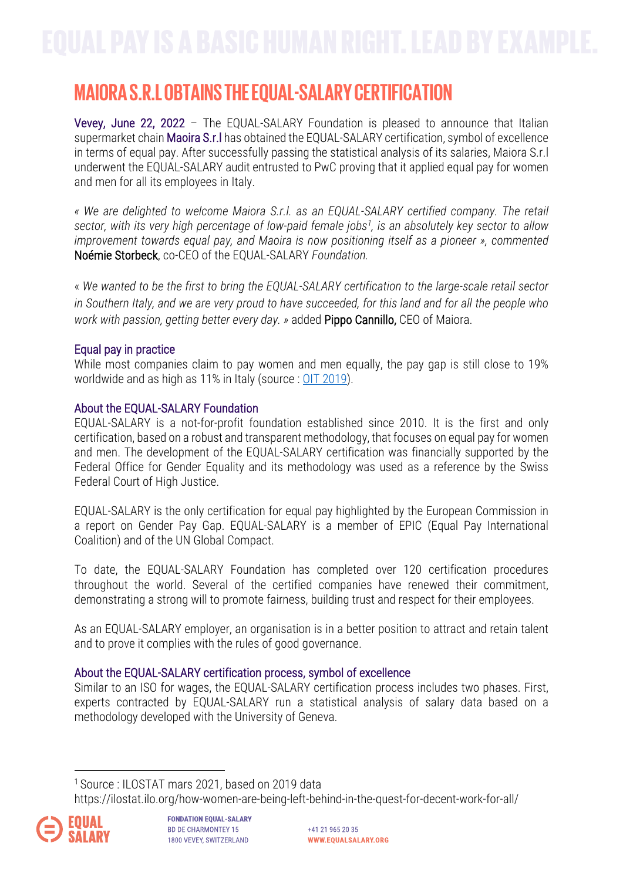# **MAIORA S.R.LOBTAINSTHE EQUAL-SALARYCERTIFICATION**

Vevey, June 22, 2022 – The EQUAL-SALARY Foundation is pleased to announce that Italian supermarket chain Maoira S.r.l has obtained the EQUAL-SALARY certification, symbol of excellence in terms of equal pay. After successfully passing the statistical analysis of its salaries, Maiora S.r.l underwent the EQUAL-SALARY audit entrusted to PwC proving that it applied equal pay for women and men for all its employees in Italy.

*« We are delighted to welcome Maiora S.r.l. as an EQUAL-SALARY certified company. The retail sector, with its very high percentage of low-paid female jobs1 , is an absolutely key sector to allow improvement towards equal pay, and Maoira is now positioning itself as a pioneer », commented*  Noémie Storbeck, co-CEO of the EQUAL-SALARY *Foundation.*

« *We wanted to be the first to bring the EQUAL-SALARY certification to the large-scale retail sector in Southern Italy, and we are very proud to have succeeded, for this land and for all the people who work with passion, getting better every day. »* added Pippo Cannillo, CEO of Maiora.

## Equal pay in practice

While most companies claim to pay women and men equally, the pay gap is still close to 19% worldwide and as high as 11% in Italy (source : OIT 2019).

## About the EQUAL-SALARY Foundation

EQUAL-SALARY is a not-for-profit foundation established since 2010. It is the first and only certification, based on a robust and transparent methodology, that focuses on equal pay for women and men. The development of the EQUAL-SALARY certification was financially supported by the Federal Office for Gender Equality and its methodology was used as a reference by the Swiss Federal Court of High Justice.

EQUAL-SALARY is the only certification for equal pay highlighted by the European Commission in a report on Gender Pay Gap. EQUAL-SALARY is a member of EPIC (Equal Pay International Coalition) and of the UN Global Compact.

To date, the EQUAL-SALARY Foundation has completed over 120 certification procedures throughout the world. Several of the certified companies have renewed their commitment, demonstrating a strong will to promote fairness, building trust and respect for their employees.

As an EQUAL-SALARY employer, an organisation is in a better position to attract and retain talent and to prove it complies with the rules of good governance.

#### About the EQUAL-SALARY certification process, symbol of excellence

Similar to an ISO for wages, the EQUAL-SALARY certification process includes two phases. First, experts contracted by EQUAL-SALARY run a statistical analysis of salary data based on a methodology developed with the University of Geneva.

<sup>1</sup> Source : ILOSTAT mars 2021, based on 2019 data

https://ilostat.ilo.org/how-women-are-being-left-behind-in-the-quest-for-decent-work-for-all/